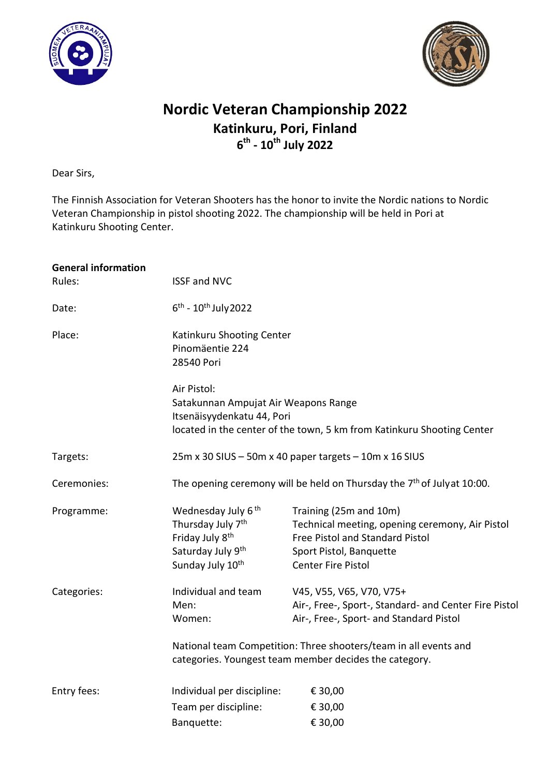



## Nordic Veteran Championship 2022 Katinkuru, Pori, Finland  $6^{\text{th}}$  - 10<sup>th</sup> July 2022

Dear Sirs,

The Finnish Association for Veteran Shooters has the honor to invite the Nordic nations to Nordic Veteran Championship in pistol shooting 2022. The championship will be held in Pori at Katinkuru Shooting Center.

| <b>General information</b><br>Rules: | <b>ISSF and NVC</b>                                                                                                                                         |                                                                                                                                                                                                                                                            |  |
|--------------------------------------|-------------------------------------------------------------------------------------------------------------------------------------------------------------|------------------------------------------------------------------------------------------------------------------------------------------------------------------------------------------------------------------------------------------------------------|--|
| Date:                                | $6^{th}$ - $10^{th}$ July 2022                                                                                                                              |                                                                                                                                                                                                                                                            |  |
| Place:                               | Katinkuru Shooting Center<br>Pinomäentie 224<br>28540 Pori                                                                                                  |                                                                                                                                                                                                                                                            |  |
|                                      | Air Pistol:<br>Satakunnan Ampujat Air Weapons Range<br>Itsenäisyydenkatu 44, Pori<br>located in the center of the town, 5 km from Katinkuru Shooting Center |                                                                                                                                                                                                                                                            |  |
| Targets:                             | 25m x 30 SIUS - 50m x 40 paper targets - 10m x 16 SIUS                                                                                                      |                                                                                                                                                                                                                                                            |  |
| Ceremonies:                          | The opening ceremony will be held on Thursday the 7 <sup>th</sup> of Julyat 10:00.                                                                          |                                                                                                                                                                                                                                                            |  |
| Programme:                           | Wednesday July 6 <sup>th</sup><br>Thursday July 7 <sup>th</sup><br>Friday July 8 <sup>th</sup><br>Saturday July 9th<br>Sunday July 10 <sup>th</sup>         | Training (25m and 10m)<br>Technical meeting, opening ceremony, Air Pistol<br>Free Pistol and Standard Pistol<br>Sport Pistol, Banquette<br><b>Center Fire Pistol</b>                                                                                       |  |
| Categories:                          | Individual and team<br>Men:<br>Women:                                                                                                                       | V45, V55, V65, V70, V75+<br>Air-, Free-, Sport-, Standard- and Center Fire Pistol<br>Air-, Free-, Sport- and Standard Pistol<br>National team Competition: Three shooters/team in all events and<br>categories. Youngest team member decides the category. |  |
| Entry fees:                          | Individual per discipline:<br>Team per discipline:<br>Banquette:                                                                                            | € 30,00<br>€ 30,00<br>€ 30,00                                                                                                                                                                                                                              |  |